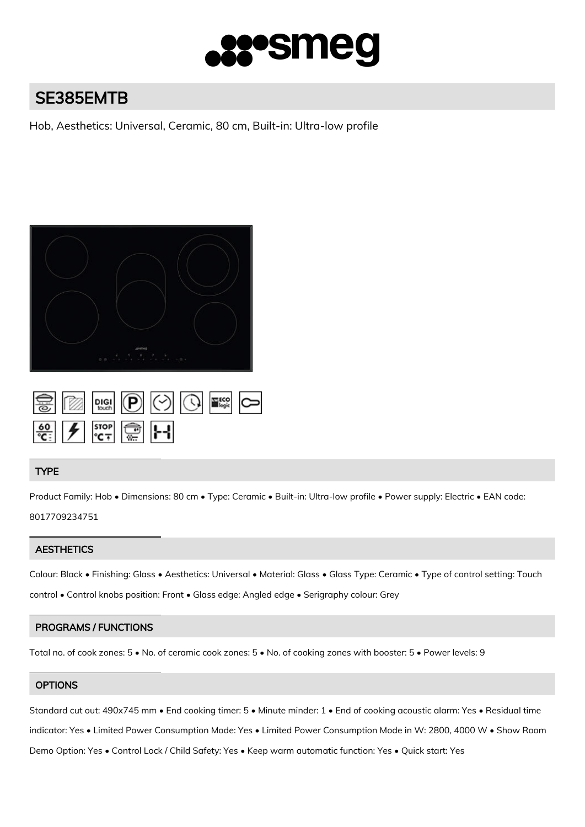

# SE385EMTB

Hob, Aesthetics: Universal, Ceramic, 80 cm, Built-in: Ultra-low profile



| $rac{60}{C}$ $\frac{1}{2}$ $\frac{1}{200}$ $\frac{1}{200}$ |  |  |  |
|------------------------------------------------------------|--|--|--|

## TYPE

Product Family: Hob • Dimensions: 80 cm • Type: Ceramic • Built-in: Ultra-low profile • Power supply: Electric • EAN code: 8017709234751

# **AESTHETICS**

Colour: Black • Finishing: Glass • Aesthetics: Universal • Material: Glass • Glass Type: Ceramic • Type of control setting: Touch control • Control knobs position: Front • Glass edge: Angled edge • Serigraphy colour: Grey

# PROGRAMS / FUNCTIONS

Total no. of cook zones: 5 • No. of ceramic cook zones: 5 • No. of cooking zones with booster: 5 • Power levels: 9

## **OPTIONS**

Standard cut out: 490x745 mm • End cooking timer: 5 • Minute minder: 1 • End of cooking acoustic alarm: Yes • Residual time indicator: Yes • Limited Power Consumption Mode: Yes • Limited Power Consumption Mode in W: 2800, 4000 W • Show Room Demo Option: Yes • Control Lock / Child Safety: Yes • Keep warm automatic function: Yes • Quick start: Yes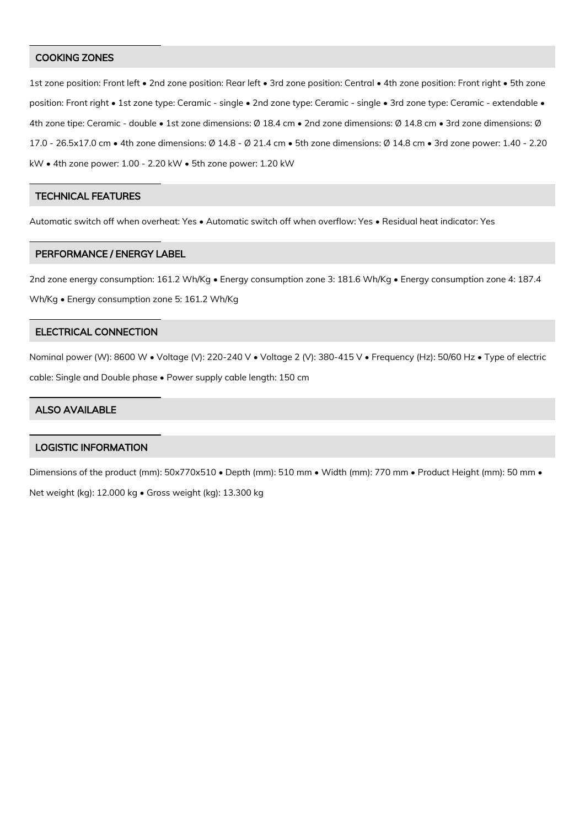#### COOKING ZONES

1st zone position: Front left • 2nd zone position: Rear left • 3rd zone position: Central • 4th zone position: Front right • 5th zone position: Front right • 1st zone type: Ceramic - single • 2nd zone type: Ceramic - single • 3rd zone type: Ceramic - extendable • 4th zone tipe: Ceramic - double • 1st zone dimensions: Ø 18.4 cm • 2nd zone dimensions: Ø 14.8 cm • 3rd zone dimensions: Ø 17.0 - 26.5x17.0 cm • 4th zone dimensions: Ø 14.8 - Ø 21.4 cm • 5th zone dimensions: Ø 14.8 cm • 3rd zone power: 1.40 - 2.20 kW • 4th zone power: 1.00 - 2.20 kW • 5th zone power: 1.20 kW

#### TECHNICAL FEATURES

Automatic switch off when overheat: Yes • Automatic switch off when overflow: Yes • Residual heat indicator: Yes

#### PERFORMANCE / ENERGY LABEL

2nd zone energy consumption: 161.2 Wh/Kg • Energy consumption zone 3: 181.6 Wh/Kg • Energy consumption zone 4: 187.4 Wh/Kg • Energy consumption zone 5: 161.2 Wh/Kg

# ELECTRICAL CONNECTION

Nominal power (W): 8600 W • Voltage (V): 220-240 V • Voltage 2 (V): 380-415 V • Frequency (Hz): 50/60 Hz • Type of electric cable: Single and Double phase • Power supply cable length: 150 cm

## ALSO AVAILABLE

# LOGISTIC INFORMATION

Dimensions of the product (mm): 50x770x510 • Depth (mm): 510 mm • Width (mm): 770 mm • Product Height (mm): 50 mm • Net weight (kg): 12.000 kg • Gross weight (kg): 13.300 kg